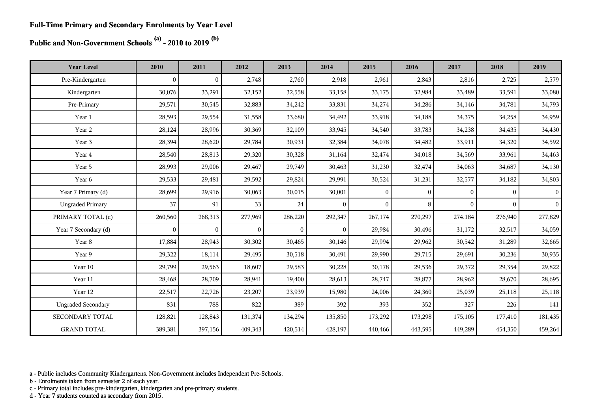### **Public and Non-Government Schools (a) - 2010 to 2019 (b)**

| <b>Year Level</b>         | 2010         | 2011           | 2012         | 2013           | 2014           | 2015           | 2016         | 2017     | 2018         | 2019      |
|---------------------------|--------------|----------------|--------------|----------------|----------------|----------------|--------------|----------|--------------|-----------|
| Pre-Kindergarten          | $\mathbf{0}$ | $\mathbf{0}$   | 2,748        | 2,760          | 2,918          | 2,961          | 2,843        | 2,816    | 2,725        | 2,579     |
| Kindergarten              | 30,076       | 33,291         | 32,152       | 32,558         | 33,158         | 33,175         | 32,984       | 33,489   | 33,591       | 33,080    |
| Pre-Primary               | 29,571       | 30,545         | 32,883       | 34,242         | 33,831         | 34,274         | 34,286       | 34,146   | 34,781       | 34,793    |
| Year 1                    | 28,593       | 29,554         | 31,558       | 33,680         | 34,492         | 33,918         | 34,188       | 34,375   | 34,258       | 34,959    |
| Year 2                    | 28,124       | 28,996         | 30,369       | 32,109         | 33,945         | 34,540         | 33,783       | 34,238   | 34,435       | 34,430    |
| Year 3                    | 28,394       | 28,620         | 29,784       | 30,931         | 32,384         | 34,078         | 34,482       | 33,911   | 34,320       | 34,592    |
| Year 4                    | 28,540       | 28,813         | 29,320       | 30,328         | 31,164         | 32,474         | 34,018       | 34,569   | 33,961       | 34,463    |
| Year 5                    | 28,993       | 29,006         | 29,467       | 29,749         | 30,463         | 31,230         | 32,474       | 34,063   | 34,687       | 34,130    |
| Year 6                    | 29,533       | 29,481         | 29,592       | 29,824         | 29,991         | 30,524         | 31,231       | 32,577   | 34,182       | 34,803    |
| Year 7 Primary (d)        | 28,699       | 29,916         | 30,063       | 30,015         | 30,001         | $\overline{0}$ | $\mathbf{0}$ | $\Omega$ | $\mathbf{0}$ | $\vert$ 0 |
| <b>Ungraded Primary</b>   | 37           | 91             | 33           | 24             | $\theta$       | $\Omega$       | 8            | $\Omega$ | $\Omega$     | $\vert$ 0 |
| PRIMARY TOTAL (c)         | 260,560      | 268,313        | 277,969      | 286,220        | 292,347        | 267,174        | 270,297      | 274,184  | 276,940      | 277,829   |
| Year 7 Secondary (d)      | $\theta$     | $\overline{0}$ | $\mathbf{0}$ | $\overline{0}$ | $\overline{0}$ | 29,984         | 30,496       | 31,172   | 32,517       | 34,059    |
| Year 8                    | 17,884       | 28,943         | 30,302       | 30,465         | 30,146         | 29,994         | 29,962       | 30,542   | 31,289       | 32,665    |
| Year 9                    | 29,322       | 18,114         | 29,495       | 30,518         | 30,491         | 29,990         | 29,715       | 29,691   | 30,236       | 30,935    |
| Year 10                   | 29,799       | 29,563         | 18,607       | 29,583         | 30,228         | 30,178         | 29,536       | 29,372   | 29,354       | 29,822    |
| Year 11                   | 28,468       | 28,709         | 28,941       | 19,400         | 28,613         | 28,747         | 28,877       | 28,962   | 28,670       | 28,695    |
| Year 12                   | 22,517       | 22,726         | 23,207       | 23,939         | 15,980         | 24,006         | 24,360       | 25,039   | 25,118       | 25,118    |
| <b>Ungraded Secondary</b> | 831          | 788            | 822          | 389            | 392            | 393            | 352          | 327      | 226          | 141       |
| SECONDARY TOTAL           | 128,821      | 128,843        | 131,374      | 134,294        | 135,850        | 173,292        | 173,298      | 175,105  | 177,410      | 181,435   |
| <b>GRAND TOTAL</b>        | 389,381      | 397,156        | 409,343      | 420,514        | 428,197        | 440,466        | 443,595      | 449,289  | 454,350      | 459,264   |

a - Public includes Community Kindergartens. Non-Government includes Independent Pre-Schools.

b - Enrolments taken from semester 2 of each year.

c - Primary total includes pre-kindergarten, kindergarten and pre-primary students.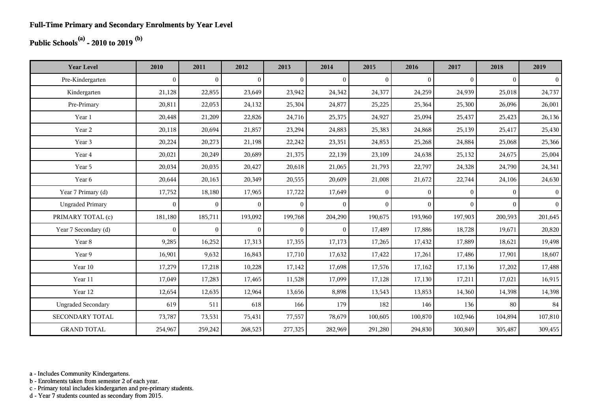## **Public Schools(a) - 2010 to 2019 (b)**

| <b>Year Level</b>         | 2010         | 2011             | 2012           | 2013           | 2014           | 2015           | 2016         | 2017         | 2018         | 2019           |
|---------------------------|--------------|------------------|----------------|----------------|----------------|----------------|--------------|--------------|--------------|----------------|
| Pre-Kindergarten          | $\theta$     | $\boldsymbol{0}$ | $\mathbf{0}$   | $\mathbf{0}$   | $\overline{0}$ | $\mathbf{0}$   | $\mathbf{0}$ | $\mathbf{0}$ | $\mathbf{0}$ | $\vert$        |
| Kindergarten              | 21,128       | 22,855           | 23,649         | 23,942         | 24,342         | 24,377         | 24,259       | 24,939       | 25,018       | 24,737         |
| Pre-Primary               | 20,811       | 22,053           | 24,132         | 25,304         | 24,877         | 25,225         | 25,364       | 25,300       | 26,096       | 26,001         |
| Year 1                    | 20,448       | 21,209           | 22,826         | 24,716         | 25,375         | 24,927         | 25,094       | 25,437       | 25,423       | 26,136         |
| Year 2                    | 20,118       | 20,694           | 21,857         | 23,294         | 24,883         | 25,383         | 24,868       | 25,139       | 25,417       | 25,430         |
| Year 3                    | 20,224       | 20,273           | 21,198         | 22,242         | 23,351         | 24,853         | 25,268       | 24,884       | 25,068       | 25,366         |
| Year 4                    | 20,021       | 20,249           | 20,689         | 21,375         | 22,139         | 23,109         | 24,638       | 25,132       | 24,675       | 25,004         |
| Year 5                    | 20,034       | 20,035           | 20,427         | 20,618         | 21,065         | 21,793         | 22,797       | 24,328       | 24,790       | 24,341         |
| Year 6                    | 20,644       | 20,163           | 20,349         | 20,555         | 20,609         | 21,008         | 21,672       | 22,744       | 24,106       | 24,630         |
| Year 7 Primary (d)        | 17,752       | 18,180           | 17,965         | 17,722         | 17,649         | $\overline{0}$ | $\mathbf{0}$ | $\theta$     | $\Omega$     | $\overline{0}$ |
| <b>Ungraded Primary</b>   | $\mathbf{0}$ | $\overline{0}$   | $\overline{0}$ | $\overline{0}$ | $\overline{0}$ | $\overline{0}$ | $\mathbf{0}$ | $\mathbf{0}$ | $\mathbf{0}$ | $\vert$ 0      |
| PRIMARY TOTAL (c)         | 181,180      | 185,711          | 193,092        | 199,768        | 204,290        | 190,675        | 193,960      | 197,903      | 200,593      | 201,645        |
| Year 7 Secondary (d)      | $\mathbf{0}$ | $\boldsymbol{0}$ | $\overline{0}$ | $\mathbf{0}$   | $\overline{0}$ | 17,489         | 17,886       | 18,728       | 19,671       | 20,820         |
| Year 8                    | 9,285        | 16,252           | 17,313         | 17,355         | 17,173         | 17,265         | 17,432       | 17,889       | 18,621       | 19,498         |
| Year 9                    | 16,901       | 9,632            | 16,843         | 17,710         | 17,632         | 17,422         | 17,261       | 17,486       | 17,901       | 18,607         |
| Year 10                   | 17,279       | 17,218           | 10,228         | 17,142         | 17,698         | 17,576         | 17,162       | 17,136       | 17,202       | 17,488         |
| Year 11                   | 17,049       | 17,283           | 17,465         | 11,528         | 17,099         | 17,128         | 17,130       | 17,211       | 17,021       | 16,915         |
| Year 12                   | 12,654       | 12,635           | 12,964         | 13,656         | 8,898          | 13,543         | 13,853       | 14,360       | 14,398       | 14,398         |
| <b>Ungraded Secondary</b> | 619          | 511              | 618            | 166            | 179            | 182            | 146          | 136          | 80           | 84             |
| SECONDARY TOTAL           | 73,787       | 73,531           | 75,431         | 77,557         | 78,679         | 100,605        | 100,870      | 102,946      | 104,894      | 107,810        |
| <b>GRAND TOTAL</b>        | 254,967      | 259,242          | 268,523        | 277,325        | 282,969        | 291,280        | 294,830      | 300,849      | 305,487      | 309,455        |

a - Includes Community Kindergartens.

b - Enrolments taken from semester 2 of each year.

c - Primary total includes kindergarten and pre-primary students.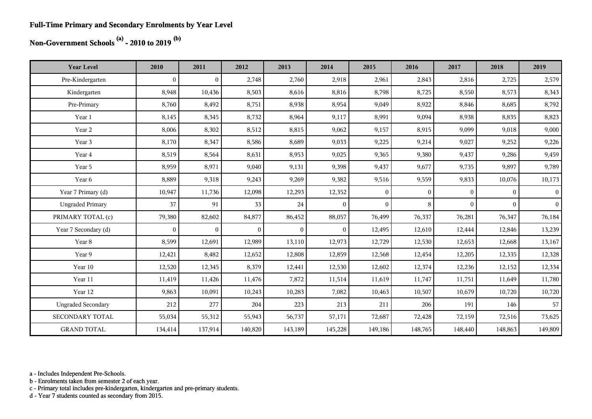#### **Full-Time Primary and Secondary Enrolments by Year Level**

## **Non-Government Schools (a) - 2010 to 2019 (b)**

| <b>Year Level</b>         | 2010             | 2011           | 2012     | 2013     | 2014           | 2015         | 2016         | 2017           | 2018           | 2019           |
|---------------------------|------------------|----------------|----------|----------|----------------|--------------|--------------|----------------|----------------|----------------|
| Pre-Kindergarten          | $\boldsymbol{0}$ | $\overline{0}$ | 2,748    | 2,760    | 2,918          | 2,961        | 2,843        | 2,816          | 2,725          | 2,579          |
| Kindergarten              | 8,948            | 10,436         | 8,503    | 8,616    | 8,816          | 8,798        | 8,725        | 8,550          | 8,573          | 8,343          |
| Pre-Primary               | 8,760            | 8,492          | 8,751    | 8,938    | 8,954          | 9,049        | 8,922        | 8,846          | 8,685          | 8,792          |
| Year 1                    | 8,145            | 8,345          | 8,732    | 8,964    | 9,117          | 8,991        | 9,094        | 8,938          | 8,835          | 8,823          |
| Year 2                    | 8,006            | 8,302          | 8,512    | 8,815    | 9,062          | 9,157        | 8,915        | 9,099          | 9,018          | 9,000          |
| Year 3                    | 8,170            | 8,347          | 8,586    | 8,689    | 9,033          | 9,225        | 9,214        | 9,027          | 9,252          | 9,226          |
| Year 4                    | 8,519            | 8,564          | 8,631    | 8,953    | 9,025          | 9,365        | 9,380        | 9,437          | 9,286          | 9,459          |
| Year 5                    | 8,959            | 8,971          | 9,040    | 9,131    | 9,398          | 9,437        | 9,677        | 9,735          | 9,897          | 9,789          |
| Year 6                    | 8,889            | 9,318          | 9,243    | 9,269    | 9,382          | 9,516        | 9,559        | 9,833          | 10,076         | 10,173         |
| Year 7 Primary (d)        | 10,947           | 11,736         | 12,098   | 12,293   | 12,352         | $\mathbf{0}$ | $\mathbf{0}$ | $\overline{0}$ | $\overline{0}$ | $\overline{0}$ |
| <b>Ungraded Primary</b>   | 37               | 91             | 33       | 24       | $\overline{0}$ | $\mathbf{0}$ | 8            | $\overline{0}$ | $\overline{0}$ | $\mathbf{0}$   |
| PRIMARY TOTAL (c)         | 79,380           | 82,602         | 84,877   | 86,452   | 88,057         | 76,499       | 76,337       | 76,281         | 76,347         | 76,184         |
| Year 7 Secondary (d)      | $\mathbf{0}$     | $\overline{0}$ | $\theta$ | $\theta$ | $\overline{0}$ | 12,495       | 12,610       | 12,444         | 12,846         | 13,239         |
| Year 8                    | 8,599            | 12,691         | 12,989   | 13,110   | 12,973         | 12,729       | 12,530       | 12,653         | 12,668         | 13,167         |
| Year 9                    | 12,421           | 8,482          | 12,652   | 12,808   | 12,859         | 12,568       | 12,454       | 12,205         | 12,335         | 12,328         |
| Year 10                   | 12,520           | 12,345         | 8,379    | 12,441   | 12,530         | 12,602       | 12,374       | 12,236         | 12,152         | 12,334         |
| Year 11                   | 11,419           | 11,426         | 11,476   | 7,872    | 11,514         | 11,619       | 11,747       | 11,751         | 11,649         | 11,780         |
| Year 12                   | 9,863            | 10,091         | 10,243   | 10,283   | 7,082          | 10,463       | 10,507       | 10,679         | 10,720         | 10,720         |
| <b>Ungraded Secondary</b> | 212              | 277            | 204      | 223      | 213            | 211          | 206          | 191            | 146            | 57             |
| <b>SECONDARY TOTAL</b>    | 55,034           | 55,312         | 55,943   | 56,737   | 57,171         | 72,687       | 72,428       | 72,159         | 72,516         | 73,625         |
| <b>GRAND TOTAL</b>        | 134,414          | 137,914        | 140,820  | 143,189  | 145,228        | 149,186      | 148,765      | 148,440        | 148,863        | 149,809        |

a - Includes Independent Pre-Schools.

b - Enrolments taken from semester 2 of each year.

c - Primary total includes pre-kindergarten, kindergarten and pre-primary students.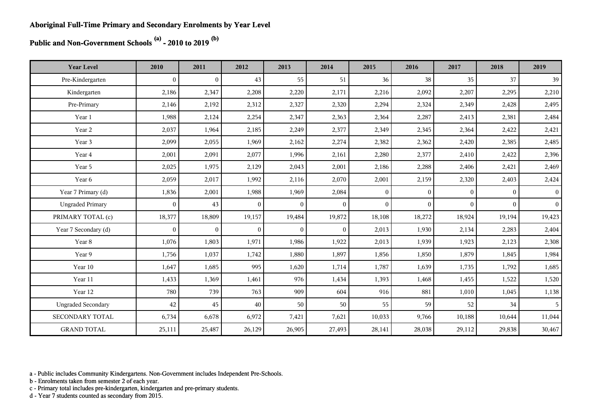# **Public and Non-Government Schools (a) - 2010 to 2019 (b)**

| <b>Year Level</b>         | 2010             | 2011         | 2012           | 2013           | 2014           | 2015           | 2016         | 2017           | 2018         | 2019            |
|---------------------------|------------------|--------------|----------------|----------------|----------------|----------------|--------------|----------------|--------------|-----------------|
| Pre-Kindergarten          | $\boldsymbol{0}$ | $\bf{0}$     | 43             | 55             | 51             | 36             | 38           | 35             | 37           | 39              |
| Kindergarten              | 2,186            | 2,347        | 2,208          | 2,220          | 2,171          | 2,216          | 2,092        | 2,207          | 2,295        | 2,210           |
| Pre-Primary               | 2,146            | 2,192        | 2,312          | 2,327          | 2,320          | 2,294          | 2,324        | 2,349          | 2,428        | 2,495           |
| Year 1                    | 1,988            | 2,124        | 2,254          | 2,347          | 2,363          | 2,364          | 2,287        | 2,413          | 2,381        | 2,484           |
| Year 2                    | 2,037            | 1,964        | 2,185          | 2,249          | 2,377          | 2,349          | 2,345        | 2,364          | 2,422        | 2,421           |
| Year 3                    | 2,099            | 2,055        | 1,969          | 2,162          | 2,274          | 2,382          | 2,362        | 2,420          | 2,385        | 2,485           |
| Year 4                    | 2,001            | 2,091        | 2,077          | 1,996          | 2,161          | 2,280          | 2,377        | 2,410          | 2,422        | 2,396           |
| Year 5                    | 2,025            | 1,975        | 2,129          | 2,043          | 2,001          | 2,186          | 2,288        | 2,406          | 2,421        | 2,469           |
| Year 6                    | 2,059            | 2,017        | 1,992          | 2,116          | 2,070          | 2,001          | 2,159        | 2,320          | 2,403        | 2,424           |
| Year 7 Primary (d)        | 1,836            | 2,001        | 1,988          | 1,969          | 2,084          | $\overline{0}$ | $\mathbf{0}$ | $\mathbf{0}$   | $\mathbf{0}$ | $\vert 0 \vert$ |
| <b>Ungraded Primary</b>   | $\mathbf{0}$     | 43           | $\overline{0}$ | $\overline{0}$ | $\overline{0}$ | $\theta$       | $\theta$     | $\overline{0}$ | $\theta$     | 0 <sup>1</sup>  |
| PRIMARY TOTAL (c)         | 18,377           | 18,809       | 19,157         | 19,484         | 19,872         | 18,108         | 18,272       | 18,924         | 19,194       | 19,423          |
| Year 7 Secondary (d)      | $\mathbf{0}$     | $\mathbf{0}$ | $\mathbf{0}$   | $\mathbf{0}$   | $\overline{0}$ | 2,013          | 1,930        | 2,134          | 2,283        | 2,404           |
| Year 8                    | 1,076            | 1,803        | 1,971          | 1,986          | 1,922          | 2,013          | 1,939        | 1,923          | 2,123        | 2,308           |
| Year 9                    | 1,756            | 1,037        | 1,742          | 1,880          | 1,897          | 1,856          | 1,850        | 1,879          | 1,845        | 1,984           |
| Year 10                   | 1,647            | 1,685        | 995            | 1,620          | 1,714          | 1,787          | 1,639        | 1,735          | 1,792        | 1,685           |
| Year 11                   | 1,433            | 1,369        | 1,461          | 976            | 1,434          | 1,393          | 1,468        | 1,455          | 1,522        | 1,520           |
| Year 12                   | 780              | 739          | 763            | 909            | 604            | 916            | 881          | 1,010          | 1,045        | 1,138           |
| <b>Ungraded Secondary</b> | 42               | 45           | $40\,$         | 50             | 50             | 55             | 59           | 52             | 34           | 5               |
| <b>SECONDARY TOTAL</b>    | 6,734            | 6,678        | 6,972          | 7,421          | 7,621          | 10,033         | 9,766        | 10,188         | 10,644       | 11,044          |
| <b>GRAND TOTAL</b>        | 25,111           | 25,487       | 26,129         | 26,905         | 27,493         | 28,141         | 28,038       | 29,112         | 29,838       | 30,467          |

a - Public includes Community Kindergartens. Non-Government includes Independent Pre-Schools.

b - Enrolments taken from semester 2 of each year.

c - Primary total includes pre-kindergarten, kindergarten and pre-primary students.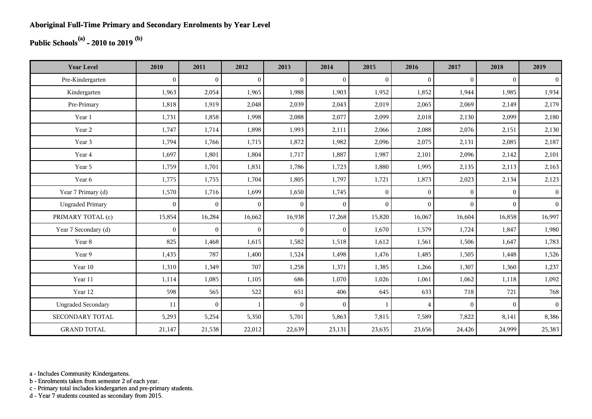## **Public Schools(a) - 2010 to 2019 (b)**

| <b>Year Level</b>         | 2010         | 2011           | 2012           | 2013         | 2014           | 2015         | 2016           | 2017     | 2018     | 2019           |
|---------------------------|--------------|----------------|----------------|--------------|----------------|--------------|----------------|----------|----------|----------------|
| Pre-Kindergarten          | $\theta$     | $\overline{0}$ | $\overline{0}$ | $\Omega$     | $\mathbf{0}$   | $\theta$     | $\mathbf{0}$   | $\Omega$ | $\theta$ | $\overline{0}$ |
| Kindergarten              | 1,963        | 2,054          | 1,965          | 1,988        | 1,903          | 1,952        | 1,852          | 1,944    | 1,985    | 1,934          |
| Pre-Primary               | 1,818        | 1,919          | 2,048          | 2,039        | 2,043          | 2,019        | 2,065          | 2,069    | 2,149    | 2,179          |
| Year 1                    | 1,731        | 1,858          | 1,998          | 2,088        | 2,077          | 2,099        | 2,018          | 2,130    | 2,099    | 2,180          |
| Year 2                    | 1,747        | 1,714          | 1,898          | 1,993        | 2,111          | 2,066        | 2,088          | 2,076    | 2,151    | 2,130          |
| Year 3                    | 1,794        | 1,766          | 1,715          | 1,872        | 1,982          | 2,096        | 2,075          | 2,131    | 2,085    | 2,187          |
| Year 4                    | 1,697        | 1,801          | 1,804          | 1,717        | 1,887          | 1,987        | 2,101          | 2,096    | 2,142    | 2,101          |
| Year 5                    | 1,759        | 1,701          | 1,831          | 1,786        | 1,723          | 1,880        | 1,995          | 2,135    | 2,113    | 2,163          |
| Year 6                    | 1,775        | 1,755          | 1,704          | 1,805        | 1,797          | 1,721        | 1,873          | 2,023    | 2,134    | 2,123          |
| Year 7 Primary (d)        | 1,570        | 1,716          | 1,699          | 1,650        | 1,745          | $\mathbf{0}$ | $\mathbf{0}$   | $\Omega$ | $\theta$ | 0 <sup>1</sup> |
| <b>Ungraded Primary</b>   | $\mathbf{0}$ | $\overline{0}$ | $\mathbf{0}$   | $\mathbf{0}$ | $\overline{0}$ | $\mathbf{0}$ | $\mathbf{0}$   | $\Omega$ | $\theta$ | 0 <sup>1</sup> |
| PRIMARY TOTAL (c)         | 15,854       | 16,284         | 16,662         | 16,938       | 17,268         | 15,820       | 16,067         | 16,604   | 16,858   | 16,997         |
| Year 7 Secondary (d)      | $\mathbf{0}$ | $\mathbf{0}$   | $\overline{0}$ | $\mathbf{0}$ | $\overline{0}$ | 1,670        | 1,579          | 1,724    | 1,847    | 1,980          |
| Year 8                    | 825          | 1,468          | 1,615          | 1,582        | 1,518          | 1,612        | 1,561          | 1,506    | 1,647    | 1,783          |
| Year 9                    | 1,435        | 787            | 1,400          | 1,524        | 1,498          | 1,476        | 1,485          | 1,505    | 1,448    | 1,526          |
| Year 10                   | 1,310        | 1,349          | 707            | 1,258        | 1,371          | 1,385        | 1,266          | 1,307    | 1,360    | 1,237          |
| Year 11                   | 1,114        | 1,085          | 1,105          | 686          | 1,070          | 1,026        | 1,061          | 1,062    | 1,118    | 1,092          |
| Year 12                   | 598          | 565            | 522            | 651          | 406            | 645          | 633            | 718      | 721      | 768            |
| <b>Ungraded Secondary</b> | 11           | $\overline{0}$ | $\mathbf{1}$   | $\Omega$     | $\mathbf{0}$   | $\mathbf{1}$ | $\overline{4}$ | $\Omega$ | $\theta$ | 0 <sup>1</sup> |
| <b>SECONDARY TOTAL</b>    | 5,293        | 5,254          | 5,350          | 5,701        | 5,863          | 7,815        | 7,589          | 7,822    | 8,141    | 8,386          |
| <b>GRAND TOTAL</b>        | 21,147       | 21,538         | 22,012         | 22,639       | 23,131         | 23,635       | 23,656         | 24,426   | 24,999   | 25,383         |

a - Includes Community Kindergartens.

b - Enrolments taken from semester 2 of each year.

c - Primary total includes kindergarten and pre-primary students.